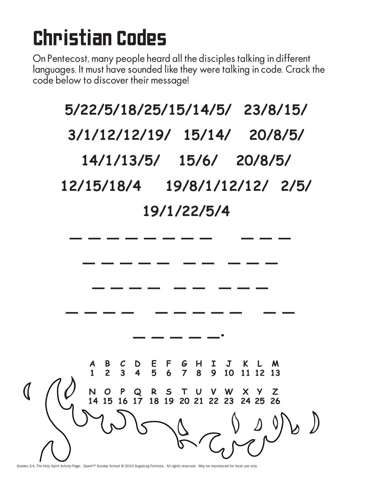## Christian Codes

On Pentecost, many people heard all the disciples talking in different languages. It must have sounded like they were talking in code. Crack the code below to discover their message!